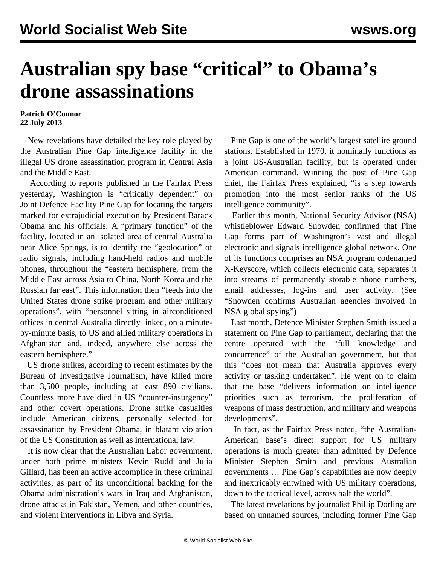## **Australian spy base "critical" to Obama's drone assassinations**

## **Patrick O'Connor 22 July 2013**

 New revelations have detailed the key role played by the Australian Pine Gap intelligence facility in the illegal US drone assassination program in Central Asia and the Middle East.

 According to reports published in the Fairfax Press yesterday, Washington is "critically dependent" on Joint Defence Facility Pine Gap for locating the targets marked for extrajudicial execution by President Barack Obama and his officials. A "primary function" of the facility, located in an isolated area of central Australia near Alice Springs, is to identify the "geolocation" of radio signals, including hand-held radios and mobile phones, throughout the "eastern hemisphere, from the Middle East across Asia to China, North Korea and the Russian far east". This information then "feeds into the United States drone strike program and other military operations", with "personnel sitting in airconditioned offices in central Australia directly linked, on a minuteby-minute basis, to US and allied military operations in Afghanistan and, indeed, anywhere else across the eastern hemisphere."

 US drone strikes, according to recent estimates by the Bureau of Investigative Journalism, have killed more than 3,500 people, including at least 890 civilians. Countless more have died in US "counter-insurgency" and other covert operations. Drone strike casualties include American citizens, personally selected for assassination by President Obama, in blatant violation of the US Constitution as well as international law.

 It is now clear that the Australian Labor government, under both prime ministers Kevin Rudd and Julia Gillard, has been an active accomplice in these criminal activities, as part of its unconditional backing for the Obama administration's wars in Iraq and Afghanistan, drone attacks in Pakistan, Yemen, and other countries, and violent interventions in Libya and Syria.

 Pine Gap is one of the world's largest satellite ground stations. Established in 1970, it nominally functions as a joint US-Australian facility, but is operated under American command. Winning the post of Pine Gap chief, the Fairfax Press explained, "is a step towards promotion into the most senior ranks of the US intelligence community".

 Earlier this month, National Security Advisor (NSA) whistleblower Edward Snowden confirmed that Pine Gap forms part of Washington's vast and illegal electronic and signals intelligence global network. One of its functions comprises an NSA program codenamed X-Keyscore, which collects electronic data, separates it into streams of permanently storable phone numbers, email addresses, log-ins and user activity. (See "[Snowden confirms Australian agencies involved in](/en/articles/2013/07/10/aust-j10.html) [NSA global spying](/en/articles/2013/07/10/aust-j10.html)")

 Last month, Defence Minister Stephen Smith issued a statement on Pine Gap to parliament, declaring that the centre operated with the "full knowledge and concurrence" of the Australian government, but that this "does not mean that Australia approves every activity or tasking undertaken". He went on to claim that the base "delivers information on intelligence priorities such as terrorism, the proliferation of weapons of mass destruction, and military and weapons developments".

 In fact, as the Fairfax Press noted, "the Australian-American base's direct support for US military operations is much greater than admitted by Defence Minister Stephen Smith and previous Australian governments … Pine Gap's capabilities are now deeply and inextricably entwined with US military operations, down to the tactical level, across half the world".

 The latest revelations by journalist Phillip Dorling are based on unnamed sources, including former Pine Gap